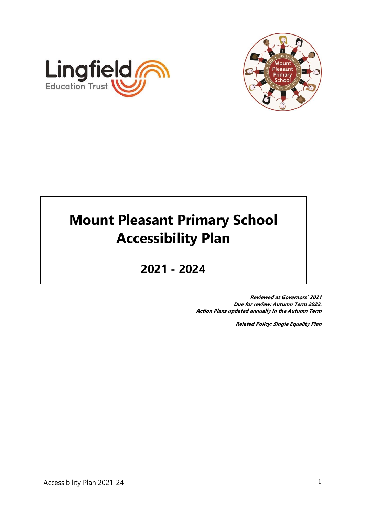



# **Mount Pleasant Primary School Accessibility Plan**

# **2021 - 2024**

**Reviewed at Governors' 2021 Due for review: Autumn Term 2022. Action Plans updated annually in the Autumn Term**

**Related Policy: Single Equality Plan**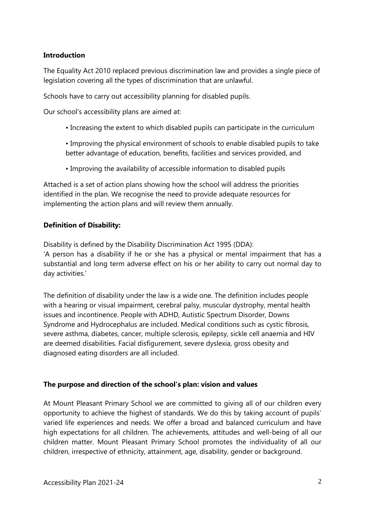#### **Introduction**

The Equality Act 2010 replaced previous discrimination law and provides a single piece of legislation covering all the types of discrimination that are unlawful.

Schools have to carry out accessibility planning for disabled pupils.

Our school's accessibility plans are aimed at:

- Increasing the extent to which disabled pupils can participate in the curriculum
- Improving the physical environment of schools to enable disabled pupils to take better advantage of education, benefits, facilities and services provided, and
- Improving the availability of accessible information to disabled pupils

Attached is a set of action plans showing how the school will address the priorities identified in the plan. We recognise the need to provide adequate resources for implementing the action plans and will review them annually.

#### **Definition of Disability:**

Disability is defined by the Disability Discrimination Act 1995 (DDA): 'A person has a disability if he or she has a physical or mental impairment that has a substantial and long term adverse effect on his or her ability to carry out normal day to day activities.'

The definition of disability under the law is a wide one. The definition includes people with a hearing or visual impairment, cerebral palsy, muscular dystrophy, mental health issues and incontinence. People with ADHD, Autistic Spectrum Disorder, Downs Syndrome and Hydrocephalus are included. Medical conditions such as cystic fibrosis, severe asthma, diabetes, cancer, multiple sclerosis, epilepsy, sickle cell anaemia and HIV are deemed disabilities. Facial disfigurement, severe dyslexia, gross obesity and diagnosed eating disorders are all included.

#### **The purpose and direction of the school's plan: vision and values**

At Mount Pleasant Primary School we are committed to giving all of our children every opportunity to achieve the highest of standards. We do this by taking account of pupils' varied life experiences and needs. We offer a broad and balanced curriculum and have high expectations for all children. The achievements, attitudes and well-being of all our children matter. Mount Pleasant Primary School promotes the individuality of all our children, irrespective of ethnicity, attainment, age, disability, gender or background.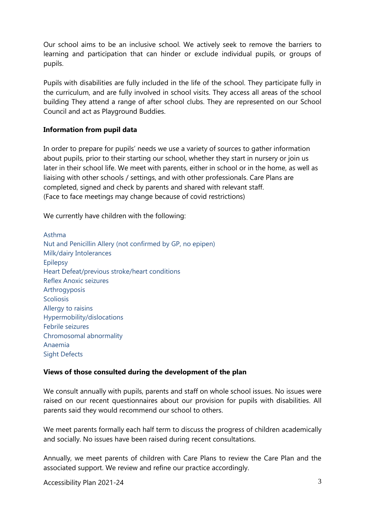Our school aims to be an inclusive school. We actively seek to remove the barriers to learning and participation that can hinder or exclude individual pupils, or groups of pupils.

Pupils with disabilities are fully included in the life of the school. They participate fully in the curriculum, and are fully involved in school visits. They access all areas of the school building They attend a range of after school clubs. They are represented on our School Council and act as Playground Buddies.

#### **Information from pupil data**

In order to prepare for pupils' needs we use a variety of sources to gather information about pupils, prior to their starting our school, whether they start in nursery or join us later in their school life. We meet with parents, either in school or in the home, as well as liaising with other schools / settings, and with other professionals. Care Plans are completed, signed and check by parents and shared with relevant staff. (Face to face meetings may change because of covid restrictions)

We currently have children with the following:

Asthma Nut and Penicillin Allery (not confirmed by GP, no epipen) Milk/dairy Intolerances Epilepsy Heart Defeat/previous stroke/heart conditions Reflex Anoxic seizures Arthrogyposis **Scoliosis** Allergy to raisins Hypermobility/dislocations Febrile seizures Chromosomal abnormality Anaemia Sight Defects

#### **Views of those consulted during the development of the plan**

We consult annually with pupils, parents and staff on whole school issues. No issues were raised on our recent questionnaires about our provision for pupils with disabilities. All parents said they would recommend our school to others.

We meet parents formally each half term to discuss the progress of children academically and socially. No issues have been raised during recent consultations.

Annually, we meet parents of children with Care Plans to review the Care Plan and the associated support. We review and refine our practice accordingly.

Accessibility Plan 2021-24 3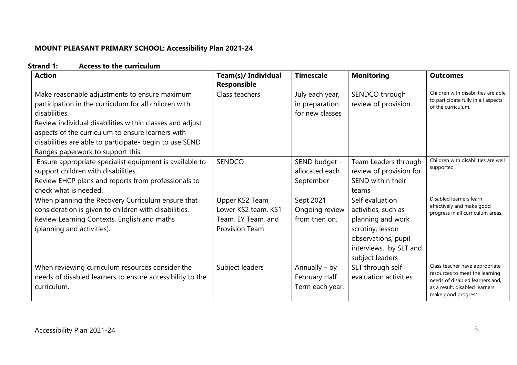# **MOUNT PLEASANT PRIMARY SCHOOL: Accessibility Plan 2021-24**

| <b>Strand 1:</b> | <b>Access to the curriculum</b> |  |
|------------------|---------------------------------|--|
|------------------|---------------------------------|--|

| <b>Action</b>                                                                                                                                                                                                                                                                                                                           | <b>Team(s)/ Individual</b><br><b>Responsible</b>                                      | <b>Timescale</b>                                     | <b>Monitoring</b>                                                                                                                                   | <b>Outcomes</b>                                                                                                                                              |
|-----------------------------------------------------------------------------------------------------------------------------------------------------------------------------------------------------------------------------------------------------------------------------------------------------------------------------------------|---------------------------------------------------------------------------------------|------------------------------------------------------|-----------------------------------------------------------------------------------------------------------------------------------------------------|--------------------------------------------------------------------------------------------------------------------------------------------------------------|
| Make reasonable adjustments to ensure maximum<br>participation in the curriculum for all children with<br>disabilities.<br>Review individual disabilities within classes and adjust<br>aspects of the curriculum to ensure learners with<br>disabilities are able to participate- begin to use SEND<br>Ranges paperwork to support this | Class teachers                                                                        | July each year,<br>in preparation<br>for new classes | SENDCO through<br>review of provision.                                                                                                              | Children with disabilities are able<br>to participate fully in all aspects<br>of the curriculum.                                                             |
| Ensure appropriate specialist equipment is available to<br>support children with disabilities.<br>Review EHCP plans and reports from professionals to<br>check what is needed.                                                                                                                                                          | SENDCO                                                                                | SEND budget -<br>allocated each<br>September         | Team Leaders through<br>review of provision for<br>SEND within their<br>teams                                                                       | Children with disabilities are well<br>supported.                                                                                                            |
| When planning the Recovery Curriculum ensure that<br>consideration is given to children with disabilities.<br>Review Learning Contexts, English and maths<br>(planning and activities).                                                                                                                                                 | Upper KS2 Team,<br>Lower KS2 team, KS1<br>Team, EY Team, and<br><b>Provision Team</b> | Sept 2021<br>Ongoing review<br>from then on.         | Self evaluation<br>activities, such as<br>planning and work<br>scrutiny, lesson<br>observations, pupil<br>interviews, by SLT and<br>subject leaders | Disabled learners learn<br>effectively and make good<br>progress in all curriculum areas.                                                                    |
| When reviewing curriculum resources consider the<br>needs of disabled learners to ensure accessibility to the<br>curriculum.                                                                                                                                                                                                            | Subject leaders                                                                       | Annually – by<br>February Half<br>Term each year.    | SLT through self<br>evaluation activities.                                                                                                          | Class teacher have appropriate<br>resources to meet the learning<br>needs of disabled learners and,<br>as a result, disabled learners<br>make good progress. |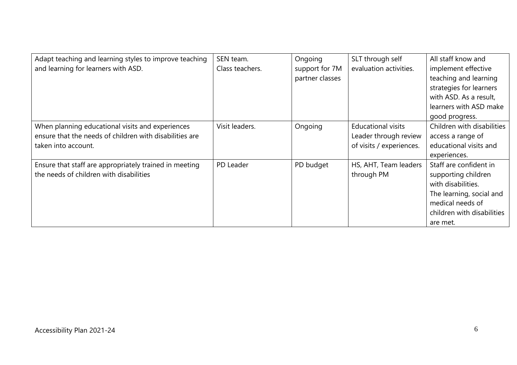| Adapt teaching and learning styles to improve teaching<br>and learning for learners with ASD.                                      | SEN team.<br>Class teachers. | Ongoing<br>support for 7M<br>partner classes | SLT through self<br>evaluation activities.                                     | All staff know and<br>implement effective<br>teaching and learning<br>strategies for learners<br>with ASD. As a result,<br>learners with ASD make<br>good progress. |
|------------------------------------------------------------------------------------------------------------------------------------|------------------------------|----------------------------------------------|--------------------------------------------------------------------------------|---------------------------------------------------------------------------------------------------------------------------------------------------------------------|
| When planning educational visits and experiences<br>ensure that the needs of children with disabilities are<br>taken into account. | Visit leaders.               | Ongoing                                      | <b>Educational visits</b><br>Leader through review<br>of visits / experiences. | Children with disabilities<br>access a range of<br>educational visits and<br>experiences.                                                                           |
| Ensure that staff are appropriately trained in meeting<br>the needs of children with disabilities                                  | PD Leader                    | PD budget                                    | HS, AHT, Team leaders<br>through PM                                            | Staff are confident in<br>supporting children<br>with disabilities.<br>The learning, social and<br>medical needs of<br>children with disabilities<br>are met.       |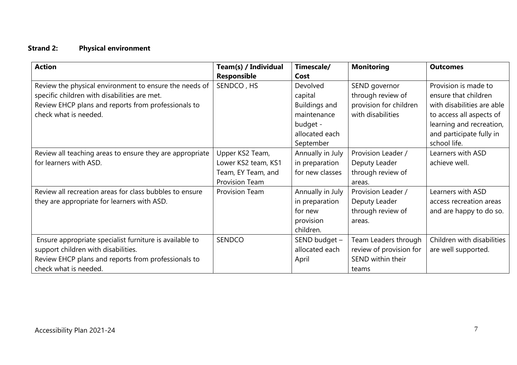# **Strand 2: Physical environment**

| <b>Action</b>                                                                                                                                                                          | Team(s) / Individual<br><b>Responsible</b>                                            | Timescale/<br>Cost                                                                                    | <b>Monitoring</b>                                                                 | <b>Outcomes</b>                                                                                                                                                                |
|----------------------------------------------------------------------------------------------------------------------------------------------------------------------------------------|---------------------------------------------------------------------------------------|-------------------------------------------------------------------------------------------------------|-----------------------------------------------------------------------------------|--------------------------------------------------------------------------------------------------------------------------------------------------------------------------------|
| Review the physical environment to ensure the needs of<br>specific children with disabilities are met.<br>Review EHCP plans and reports from professionals to<br>check what is needed. | SENDCO, HS                                                                            | Devolved<br>capital<br><b>Buildings and</b><br>maintenance<br>budget -<br>allocated each<br>September | SEND governor<br>through review of<br>provision for children<br>with disabilities | Provision is made to<br>ensure that children<br>with disabilities are able<br>to access all aspects of<br>learning and recreation,<br>and participate fully in<br>school life. |
| Review all teaching areas to ensure they are appropriate<br>for learners with ASD.                                                                                                     | Upper KS2 Team,<br>Lower KS2 team, KS1<br>Team, EY Team, and<br><b>Provision Team</b> | Annually in July<br>in preparation<br>for new classes                                                 | Provision Leader /<br>Deputy Leader<br>through review of<br>areas.                | Learners with ASD<br>achieve well.                                                                                                                                             |
| Review all recreation areas for class bubbles to ensure<br>they are appropriate for learners with ASD.                                                                                 | <b>Provision Team</b>                                                                 | Annually in July<br>in preparation<br>for new<br>provision<br>children.                               | Provision Leader /<br>Deputy Leader<br>through review of<br>areas.                | Learners with ASD<br>access recreation areas<br>and are happy to do so.                                                                                                        |
| Ensure appropriate specialist furniture is available to<br>support children with disabilities.<br>Review EHCP plans and reports from professionals to<br>check what is needed.         | <b>SENDCO</b>                                                                         | SEND budget -<br>allocated each<br>April                                                              | Team Leaders through<br>review of provision for<br>SEND within their<br>teams     | Children with disabilities<br>are well supported.                                                                                                                              |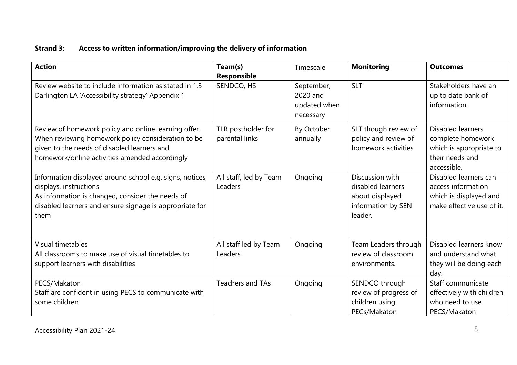# **Strand 3: Access to written information/improving the delivery of information**

| <b>Action</b>                                                                                                                                                                                               | Team(s)<br>Responsible               | Timescale                                           | <b>Monitoring</b>                                                                        | <b>Outcomes</b>                                                                                            |
|-------------------------------------------------------------------------------------------------------------------------------------------------------------------------------------------------------------|--------------------------------------|-----------------------------------------------------|------------------------------------------------------------------------------------------|------------------------------------------------------------------------------------------------------------|
| Review website to include information as stated in 1.3<br>Darlington LA 'Accessibility strategy' Appendix 1                                                                                                 | SENDCO, HS                           | September,<br>2020 and<br>updated when<br>necessary | <b>SLT</b>                                                                               | Stakeholders have an<br>up to date bank of<br>information.                                                 |
| Review of homework policy and online learning offer.<br>When reviewing homework policy consideration to be<br>given to the needs of disabled learners and<br>homework/online activities amended accordingly | TLR postholder for<br>parental links | By October<br>annually                              | SLT though review of<br>policy and review of<br>homework activities                      | <b>Disabled learners</b><br>complete homework<br>which is appropriate to<br>their needs and<br>accessible. |
| Information displayed around school e.g. signs, notices,<br>displays, instructions<br>As information is changed, consider the needs of<br>disabled learners and ensure signage is appropriate for<br>them   | All staff, led by Team<br>Leaders    | Ongoing                                             | Discussion with<br>disabled learners<br>about displayed<br>information by SEN<br>leader. | Disabled learners can<br>access information<br>which is displayed and<br>make effective use of it.         |
| Visual timetables<br>All classrooms to make use of visual timetables to<br>support learners with disabilities                                                                                               | All staff led by Team<br>Leaders     | Ongoing                                             | Team Leaders through<br>review of classroom<br>environments.                             | Disabled learners know<br>and understand what<br>they will be doing each<br>day.                           |
| PECS/Makaton<br>Staff are confident in using PECS to communicate with<br>some children                                                                                                                      | Teachers and TAs                     | Ongoing                                             | SENDCO through<br>review of progress of<br>children using<br>PECs/Makaton                | Staff communicate<br>effectively with children<br>who need to use<br>PECS/Makaton                          |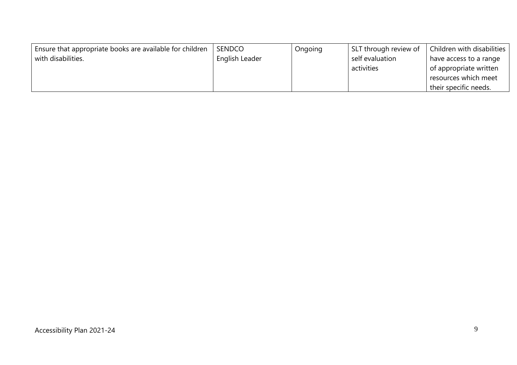| Ensure that appropriate books are available for children | <b>SENDCO</b>         | Ongoing | SLT through review of | Children with disabilities |
|----------------------------------------------------------|-----------------------|---------|-----------------------|----------------------------|
| with disabilities.                                       | <b>English Leader</b> |         | self evaluation       | have access to a range     |
|                                                          |                       |         | activities            | of appropriate written     |
|                                                          |                       |         |                       | resources which meet       |
|                                                          |                       |         |                       | their specific needs.      |